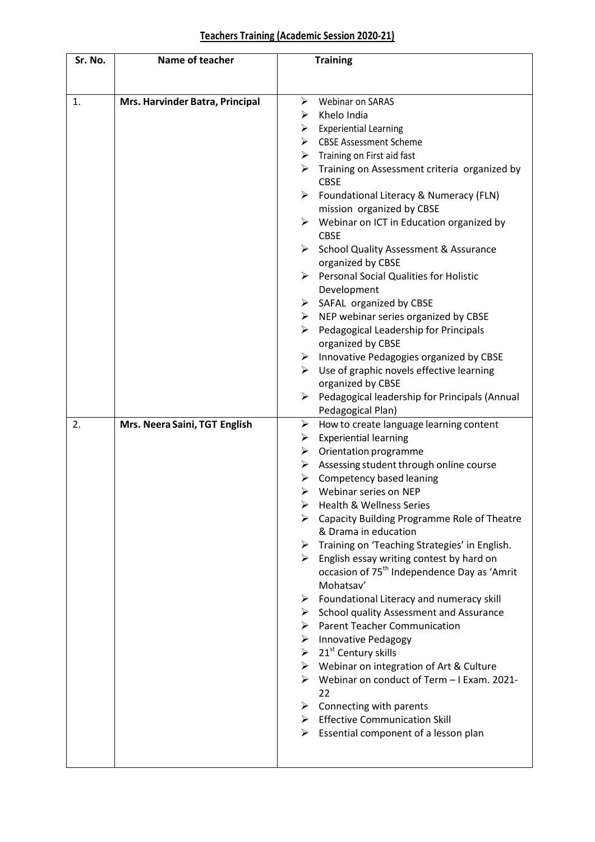## **Teachers Training (Academic Session 2020-21)**

| Sr. No. | Name of teacher                 |                       | <b>Training</b>                                                                     |  |
|---------|---------------------------------|-----------------------|-------------------------------------------------------------------------------------|--|
|         |                                 |                       |                                                                                     |  |
|         |                                 |                       |                                                                                     |  |
| 1.      | Mrs. Harvinder Batra, Principal | ➤                     | Webinar on SARAS                                                                    |  |
|         |                                 | ➤                     | Khelo India                                                                         |  |
|         |                                 | ➤                     | <b>Experiential Learning</b>                                                        |  |
|         |                                 | ≻                     | <b>CBSE Assessment Scheme</b>                                                       |  |
|         |                                 |                       | $\triangleright$ Training on First aid fast                                         |  |
|         |                                 |                       | $\triangleright$ Training on Assessment criteria organized by<br><b>CBSE</b>        |  |
|         |                                 | ➤                     | Foundational Literacy & Numeracy (FLN)                                              |  |
|         |                                 |                       | mission organized by CBSE                                                           |  |
|         |                                 | $\blacktriangleright$ | Webinar on ICT in Education organized by                                            |  |
|         |                                 |                       | <b>CBSE</b>                                                                         |  |
|         |                                 | ≻                     | <b>School Quality Assessment &amp; Assurance</b><br>organized by CBSE               |  |
|         |                                 | $\blacktriangleright$ | <b>Personal Social Qualities for Holistic</b>                                       |  |
|         |                                 |                       | Development                                                                         |  |
|         |                                 |                       | $\triangleright$ SAFAL organized by CBSE                                            |  |
|         |                                 |                       | $\triangleright$ NEP webinar series organized by CBSE                               |  |
|         |                                 | ➤                     | Pedagogical Leadership for Principals<br>organized by CBSE                          |  |
|         |                                 |                       | $\triangleright$ Innovative Pedagogies organized by CBSE                            |  |
|         |                                 | ➤                     | Use of graphic novels effective learning                                            |  |
|         |                                 |                       | organized by CBSE                                                                   |  |
|         |                                 |                       | $\triangleright$ Pedagogical leadership for Principals (Annual                      |  |
|         |                                 |                       | Pedagogical Plan)                                                                   |  |
| 2.      | Mrs. Neera Saini, TGT English   | ➤                     | How to create language learning content                                             |  |
|         |                                 | ➤                     | <b>Experiential learning</b>                                                        |  |
|         |                                 | ≻                     | Orientation programme                                                               |  |
|         |                                 | ➤                     | Assessing student through online course                                             |  |
|         |                                 | ➤                     | Competency based leaning                                                            |  |
|         |                                 | ➤                     | Webinar series on NEP                                                               |  |
|         |                                 | ➤                     | <b>Health &amp; Wellness Series</b>                                                 |  |
|         |                                 |                       | Capacity Building Programme Role of Theatre<br>& Drama in education                 |  |
|         |                                 | ➤                     | Training on 'Teaching Strategies' in English.                                       |  |
|         |                                 |                       | $\triangleright$ English essay writing contest by hard on                           |  |
|         |                                 |                       | occasion of 75 <sup>th</sup> Independence Day as 'Amrit                             |  |
|         |                                 |                       | Mohatsay'                                                                           |  |
|         |                                 | ➤<br>➤                | Foundational Literacy and numeracy skill<br>School quality Assessment and Assurance |  |
|         |                                 |                       | > Parent Teacher Communication                                                      |  |
|         |                                 |                       | $\triangleright$ Innovative Pedagogy                                                |  |
|         |                                 |                       | $\geq 21^{st}$ Century skills                                                       |  |
|         |                                 |                       | > Webinar on integration of Art & Culture                                           |  |
|         |                                 |                       | > Webinar on conduct of Term - I Exam. 2021-                                        |  |
|         |                                 |                       | 22                                                                                  |  |
|         |                                 |                       | $\triangleright$ Connecting with parents                                            |  |
|         |                                 |                       | $\triangleright$ Effective Communication Skill                                      |  |
|         |                                 |                       | $\triangleright$ Essential component of a lesson plan                               |  |
|         |                                 |                       |                                                                                     |  |
|         |                                 |                       |                                                                                     |  |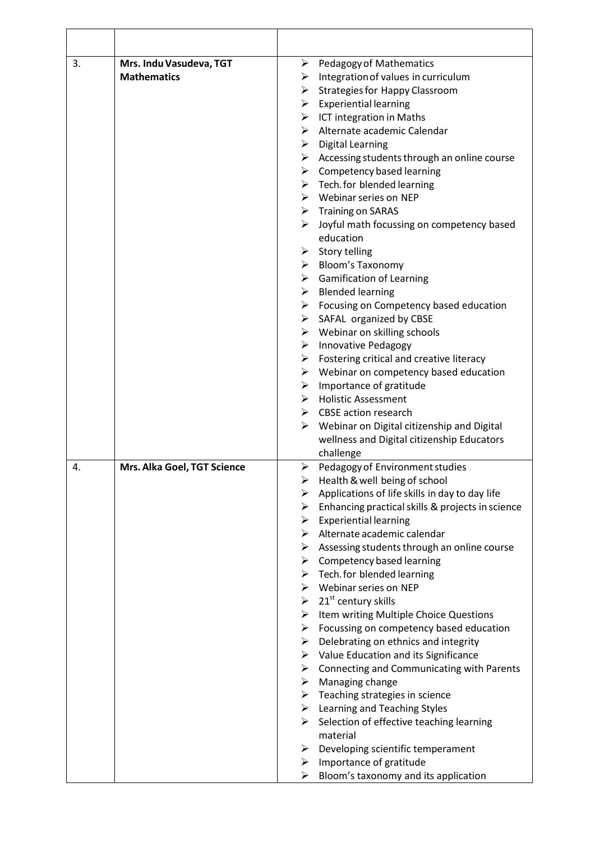| 3. | Mrs. Indu Vasudeva, TGT     | <b>Pedagogy of Mathematics</b><br>≻                          |
|----|-----------------------------|--------------------------------------------------------------|
|    | <b>Mathematics</b>          | Integration of values in curriculum<br>➤                     |
|    |                             | $\triangleright$ Strategies for Happy Classroom              |
|    |                             | $\triangleright$ Experiential learning                       |
|    |                             | $\triangleright$ ICT integration in Maths                    |
|    |                             | Alternate academic Calendar<br>➤                             |
|    |                             | $\triangleright$ Digital Learning                            |
|    |                             | $\triangleright$ Accessing students through an online course |
|    |                             | $\triangleright$ Competency based learning                   |
|    |                             | $\triangleright$ Tech. for blended learning                  |
|    |                             | $\triangleright$ Webinar series on NEP                       |
|    |                             | $\triangleright$ Training on SARAS                           |
|    |                             | $\triangleright$ Joyful math focussing on competency based   |
|    |                             | education                                                    |
|    |                             | $\triangleright$ Story telling                               |
|    |                             | $\triangleright$ Bloom's Taxonomy                            |
|    |                             | $\triangleright$ Gamification of Learning                    |
|    |                             | $\triangleright$ Blended learning                            |
|    |                             | $\triangleright$ Focusing on Competency based education      |
|    |                             | $\triangleright$ SAFAL organized by CBSE                     |
|    |                             | $\triangleright$ Webinar on skilling schools                 |
|    |                             | > Innovative Pedagogy                                        |
|    |                             | Fostering critical and creative literacy<br>➤                |
|    |                             | $\triangleright$ Webinar on competency based education       |
|    |                             | $\triangleright$ Importance of gratitude                     |
|    |                             | > Holistic Assessment                                        |
|    |                             | $\triangleright$ CBSE action research                        |
|    |                             | $\triangleright$ Webinar on Digital citizenship and Digital  |
|    |                             | wellness and Digital citizenship Educators                   |
|    |                             | challenge                                                    |
| 4. | Mrs. Alka Goel, TGT Science | Pedagogy of Environment studies<br>➤                         |
|    |                             | $\triangleright$ Health & well being of school               |
|    |                             | Applications of life skills in day to day life<br>➤          |
|    |                             | Enhancing practical skills & projects in science<br>➤        |
|    |                             | <b>Experiential learning</b><br>➤                            |
|    |                             | $\triangleright$ Alternate academic calendar                 |
|    |                             | $\triangleright$ Assessing students through an online course |
|    |                             | $\triangleright$ Competency based learning                   |
|    |                             | $\triangleright$ Tech. for blended learning                  |
|    |                             | $\triangleright$ Webinar series on NEP                       |
|    |                             | $\geq 21^{st}$ century skills                                |
|    |                             | Item writing Multiple Choice Questions<br>➤                  |
|    |                             | Focussing on competency based education<br>≻                 |
|    |                             | Delebrating on ethnics and integrity<br>➤                    |
|    |                             | $\triangleright$ Value Education and its Significance        |
|    |                             | $\triangleright$ Connecting and Communicating with Parents   |
|    |                             | $\triangleright$ Managing change                             |
|    |                             | $\triangleright$ Teaching strategies in science              |
|    |                             | $\triangleright$ Learning and Teaching Styles                |
|    |                             | Selection of effective teaching learning<br>➤                |
|    |                             | material                                                     |
|    |                             | Developing scientific temperament<br>➤                       |
|    |                             | Importance of gratitude<br>➤                                 |
|    |                             | Bloom's taxonomy and its application<br>➤                    |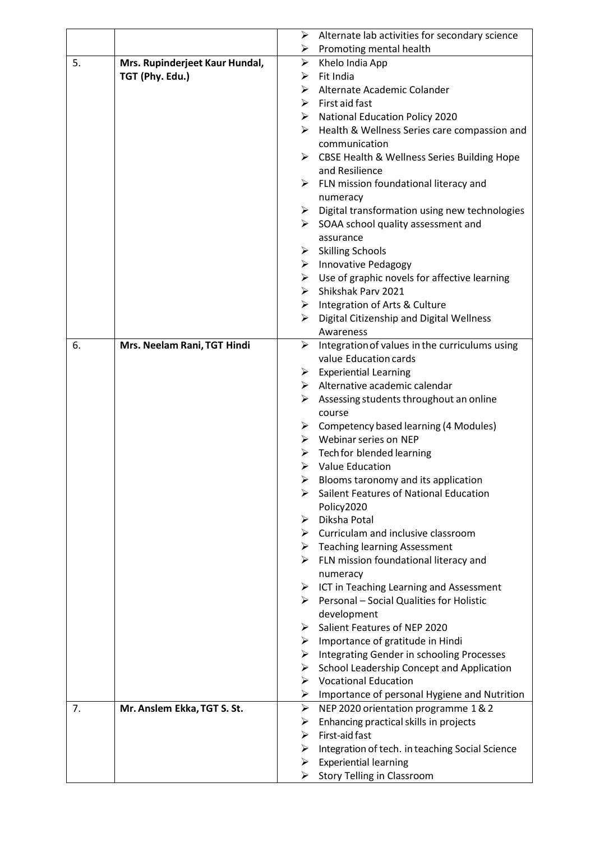|    |                                | ➤                     | Alternate lab activities for secondary science                 |
|----|--------------------------------|-----------------------|----------------------------------------------------------------|
|    |                                | ➤                     | Promoting mental health                                        |
| 5. | Mrs. Rupinderjeet Kaur Hundal, | $\blacktriangleright$ | Khelo India App                                                |
|    | TGT (Phy. Edu.)                | ➤                     | Fit India                                                      |
|    |                                | ➤                     | Alternate Academic Colander                                    |
|    |                                |                       | $\triangleright$ First aid fast                                |
|    |                                |                       | $\triangleright$ National Education Policy 2020                |
|    |                                | ➤                     | Health & Wellness Series care compassion and                   |
|    |                                |                       | communication                                                  |
|    |                                |                       | > CBSE Health & Wellness Series Building Hope                  |
|    |                                |                       | and Resilience                                                 |
|    |                                |                       | $\triangleright$ FLN mission foundational literacy and         |
|    |                                |                       | numeracy                                                       |
|    |                                |                       | $\triangleright$ Digital transformation using new technologies |
|    |                                |                       | $\triangleright$ SOAA school quality assessment and            |
|    |                                |                       | assurance                                                      |
|    |                                | ➤                     | <b>Skilling Schools</b>                                        |
|    |                                | ≻                     | <b>Innovative Pedagogy</b>                                     |
|    |                                |                       | $\triangleright$ Use of graphic novels for affective learning  |
|    |                                |                       | > Shikshak Parv 2021                                           |
|    |                                |                       | $\triangleright$ Integration of Arts & Culture                 |
|    |                                | ➤                     | Digital Citizenship and Digital Wellness                       |
|    |                                |                       | Awareness                                                      |
| 6. | Mrs. Neelam Rani, TGT Hindi    | ➤                     | Integration of values in the curriculums using                 |
|    |                                |                       | value Education cards                                          |
|    |                                | ≻                     | <b>Experiential Learning</b>                                   |
|    |                                |                       | $\triangleright$ Alternative academic calendar                 |
|    |                                | ≻                     | Assessing students throughout an online                        |
|    |                                |                       | course                                                         |
|    |                                |                       | $\triangleright$ Competency based learning (4 Modules)         |
|    |                                |                       | $\triangleright$ Webinar series on NEP                         |
|    |                                |                       | $\triangleright$ Tech for blended learning                     |
|    |                                |                       | $\triangleright$ Value Education                               |
|    |                                | ➤                     | Blooms taronomy and its application                            |
|    |                                | ➤                     | Sailent Features of National Education                         |
|    |                                |                       | Policy2020                                                     |
|    |                                | ➤                     | Diksha Potal                                                   |
|    |                                | ➤                     | Curriculam and inclusive classroom                             |
|    |                                |                       | $\triangleright$ Teaching learning Assessment                  |
|    |                                |                       | $\triangleright$ FLN mission foundational literacy and         |
|    |                                |                       | numeracy                                                       |
|    |                                |                       | $\triangleright$ ICT in Teaching Learning and Assessment       |
|    |                                | ➤                     | Personal - Social Qualities for Holistic                       |
|    |                                |                       | development                                                    |
|    |                                | ➤                     | Salient Features of NEP 2020                                   |
|    |                                | ➤                     | Importance of gratitude in Hindi                               |
|    |                                | ≻                     | Integrating Gender in schooling Processes                      |
|    |                                | ≻                     | School Leadership Concept and Application                      |
|    |                                |                       | $\triangleright$ Vocational Education                          |
|    |                                | $\blacktriangleright$ | Importance of personal Hygiene and Nutrition                   |
| 7. | Mr. Anslem Ekka, TGT S. St.    | ➤                     | NEP 2020 orientation programme 1 & 2                           |
|    |                                | ➤                     | Enhancing practical skills in projects                         |
|    |                                | ➤                     | First-aid fast                                                 |
|    |                                | ➤                     | Integration of tech. in teaching Social Science                |
|    |                                | ➤                     | <b>Experiential learning</b>                                   |
|    |                                | ≻                     | <b>Story Telling in Classroom</b>                              |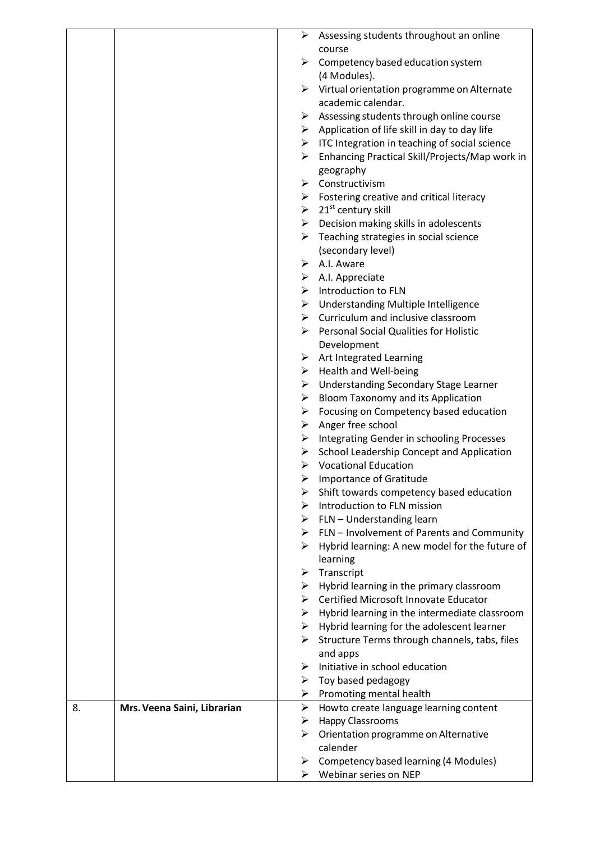|    |                             |        | Assessing students throughout an online                                 |
|----|-----------------------------|--------|-------------------------------------------------------------------------|
|    |                             |        | course                                                                  |
|    |                             | ➤      | Competency based education system                                       |
|    |                             |        | (4 Modules).                                                            |
|    |                             |        | $\triangleright$ Virtual orientation programme on Alternate             |
|    |                             |        | academic calendar.                                                      |
|    |                             | ➤      | Assessing students through online course                                |
|    |                             |        | $\triangleright$ Application of life skill in day to day life           |
|    |                             |        | $\triangleright$ ITC Integration in teaching of social science          |
|    |                             | ➤      | Enhancing Practical Skill/Projects/Map work in                          |
|    |                             |        | geography                                                               |
|    |                             | ≻      | Constructivism                                                          |
|    |                             |        | $\triangleright$ Fostering creative and critical literacy               |
|    |                             |        | $\geq 21^{st}$ century skill                                            |
|    |                             | ➤      | Decision making skills in adolescents                                   |
|    |                             | ≻      | Teaching strategies in social science                                   |
|    |                             |        | (secondary level)                                                       |
|    |                             |        | $\triangleright$ A.I. Aware                                             |
|    |                             |        | $\triangleright$ A.I. Appreciate                                        |
|    |                             |        | $\triangleright$ Introduction to FLN                                    |
|    |                             | ➤      | <b>Understanding Multiple Intelligence</b>                              |
|    |                             |        | $\triangleright$ Curriculum and inclusive classroom                     |
|    |                             | ➤      | <b>Personal Social Qualities for Holistic</b>                           |
|    |                             |        | Development                                                             |
|    |                             | ➤      | Art Integrated Learning                                                 |
|    |                             | ➤      | <b>Health and Well-being</b>                                            |
|    |                             | ➤      | Understanding Secondary Stage Learner                                   |
|    |                             | ➤      | Bloom Taxonomy and its Application                                      |
|    |                             | ➤      | Focusing on Competency based education                                  |
|    |                             | ➤      | Anger free school                                                       |
|    |                             | ➤      | Integrating Gender in schooling Processes                               |
|    |                             | ➤      | School Leadership Concept and Application                               |
|    |                             | ➤      | <b>Vocational Education</b>                                             |
|    |                             |        | Importance of Gratitude                                                 |
|    |                             | ➤<br>⋗ | Shift towards competency based education<br>Introduction to FLN mission |
|    |                             | ➤      | FLN - Understanding learn                                               |
|    |                             | ➤      | FLN - Involvement of Parents and Community                              |
|    |                             | ➤      | Hybrid learning: A new model for the future of                          |
|    |                             |        | learning                                                                |
|    |                             | ➤      | Transcript                                                              |
|    |                             | ➤      | Hybrid learning in the primary classroom                                |
|    |                             | ➤      | Certified Microsoft Innovate Educator                                   |
|    |                             | ➤      | Hybrid learning in the intermediate classroom                           |
|    |                             | ➤      | Hybrid learning for the adolescent learner                              |
|    |                             | ➤      | Structure Terms through channels, tabs, files                           |
|    |                             |        | and apps                                                                |
|    |                             | ➤      | Initiative in school education                                          |
|    |                             | ➤      | Toy based pedagogy                                                      |
|    |                             | ➤      | Promoting mental health                                                 |
| 8. | Mrs. Veena Saini, Librarian | ➤      | Howto create language learning content                                  |
|    |                             | ➤      | <b>Happy Classrooms</b>                                                 |
|    |                             | ➤      | Orientation programme on Alternative                                    |
|    |                             |        | calender                                                                |
|    |                             | ➤      | Competency based learning (4 Modules)                                   |
|    |                             | ➤      | Webinar series on NEP                                                   |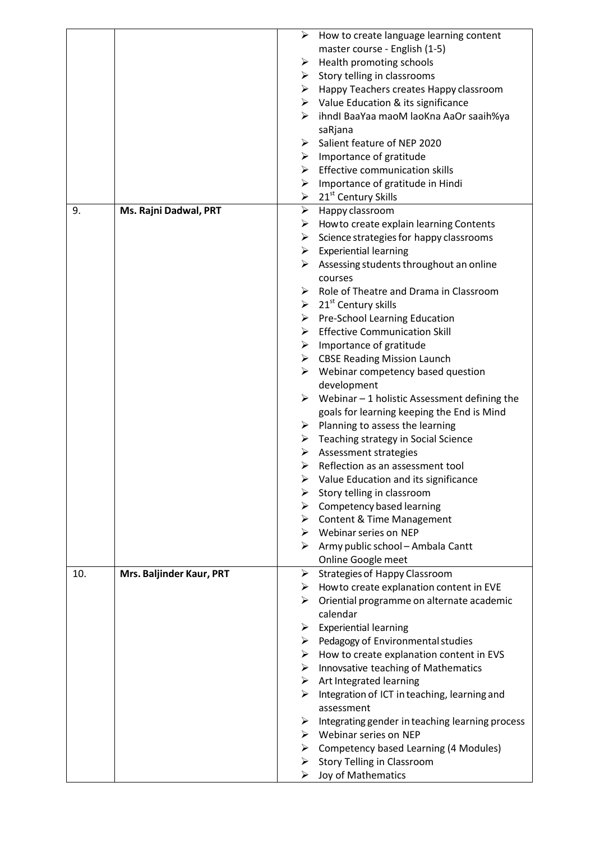|     |                          | ➤ | How to create language learning content                       |
|-----|--------------------------|---|---------------------------------------------------------------|
|     |                          |   | master course - English (1-5)                                 |
|     |                          | ➤ | Health promoting schools                                      |
|     |                          |   | $\triangleright$ Story telling in classrooms                  |
|     |                          |   | $\triangleright$ Happy Teachers creates Happy classroom       |
|     |                          |   | $\triangleright$ Value Education & its significance           |
|     |                          | ➤ | ihndl BaaYaa maoM laoKna AaOr saaih%ya                        |
|     |                          |   | saRjana                                                       |
|     |                          | ➤ | Salient feature of NEP 2020                                   |
|     |                          | ≻ | Importance of gratitude                                       |
|     |                          |   | $\triangleright$ Effective communication skills               |
|     |                          | ➤ | Importance of gratitude in Hindi                              |
|     |                          |   | $\geq 21^{st}$ Century Skills                                 |
| 9.  | Ms. Rajni Dadwal, PRT    | ➤ | Happy classroom                                               |
|     |                          | ➤ | Howto create explain learning Contents                        |
|     |                          | ≻ | Science strategies for happy classrooms                       |
|     |                          |   | $\triangleright$ Experiential learning                        |
|     |                          | ➤ | Assessing students throughout an online                       |
|     |                          |   | courses                                                       |
|     |                          |   | Role of Theatre and Drama in Classroom                        |
|     |                          |   | $\triangleright$ 21 <sup>st</sup> Century skills              |
|     |                          | ➤ | Pre-School Learning Education                                 |
|     |                          | ➤ | <b>Effective Communication Skill</b>                          |
|     |                          |   | $\triangleright$ Importance of gratitude                      |
|     |                          |   | $\triangleright$ CBSE Reading Mission Launch                  |
|     |                          |   | $\triangleright$ Webinar competency based question            |
|     |                          |   | development                                                   |
|     |                          |   | $\triangleright$ Webinar – 1 holistic Assessment defining the |
|     |                          |   | goals for learning keeping the End is Mind                    |
|     |                          | ≻ | Planning to assess the learning                               |
|     |                          |   | $\triangleright$ Teaching strategy in Social Science          |
|     |                          | ➤ | Assessment strategies                                         |
|     |                          | ➤ | Reflection as an assessment tool                              |
|     |                          | ➤ | Value Education and its significance                          |
|     |                          | ➤ | Story telling in classroom                                    |
|     |                          |   | $\triangleright$ Competency based learning                    |
|     |                          |   | $\triangleright$ Content & Time Management                    |
|     |                          |   | $\triangleright$ Webinar series on NEP                        |
|     |                          |   | $\triangleright$ Army public school – Ambala Cantt            |
|     |                          |   | Online Google meet                                            |
| 10. | Mrs. Baljinder Kaur, PRT | ➤ | <b>Strategies of Happy Classroom</b>                          |
|     |                          | ➤ | How to create explanation content in EVE                      |
|     |                          | ➤ | Oriential programme on alternate academic                     |
|     |                          |   | calendar                                                      |
|     |                          | ➤ | <b>Experiential learning</b>                                  |
|     |                          | ➤ | Pedagogy of Environmental studies                             |
|     |                          | ➤ | How to create explanation content in EVS                      |
|     |                          |   | $\triangleright$ Innovsative teaching of Mathematics          |
|     |                          |   | $\triangleright$ Art Integrated learning                      |
|     |                          | ➤ | Integration of ICT in teaching, learning and                  |
|     |                          |   | assessment                                                    |
|     |                          | ➤ | Integrating gender in teaching learning process               |
|     |                          |   | $\triangleright$ Webinar series on NEP                        |
|     |                          | ➤ | <b>Competency based Learning (4 Modules)</b>                  |
|     |                          | ➤ | <b>Story Telling in Classroom</b>                             |
|     |                          | ➤ | Joy of Mathematics                                            |
|     |                          |   |                                                               |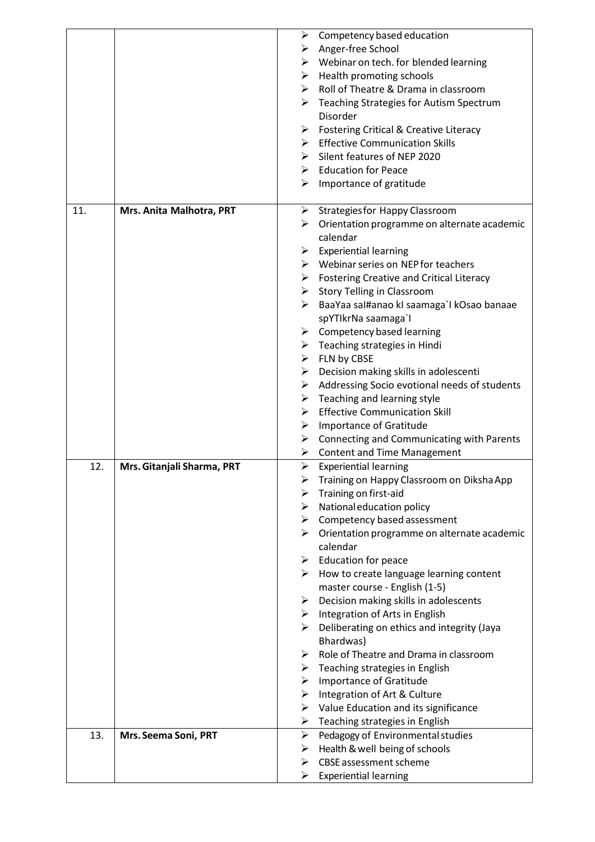|     |                            | ➤                     | Competency based education                                                                               |
|-----|----------------------------|-----------------------|----------------------------------------------------------------------------------------------------------|
|     |                            |                       | $\triangleright$ Anger-free School                                                                       |
|     |                            |                       | $\triangleright$ Webinar on tech. for blended learning                                                   |
|     |                            |                       | $\triangleright$ Health promoting schools                                                                |
|     |                            |                       | $\triangleright$ Roll of Theatre & Drama in classroom                                                    |
|     |                            | ➤                     | Teaching Strategies for Autism Spectrum                                                                  |
|     |                            |                       | Disorder                                                                                                 |
|     |                            | ➤                     | <b>Fostering Critical &amp; Creative Literacy</b>                                                        |
|     |                            |                       | $\triangleright$ Effective Communication Skills                                                          |
|     |                            |                       | > Silent features of NEP 2020                                                                            |
|     |                            |                       | $\triangleright$ Education for Peace                                                                     |
|     |                            | ➤                     | Importance of gratitude                                                                                  |
|     |                            |                       |                                                                                                          |
| 11. | Mrs. Anita Malhotra, PRT   |                       | > Strategies for Happy Classroom                                                                         |
|     |                            | ➤                     | Orientation programme on alternate academic                                                              |
|     |                            |                       | calendar                                                                                                 |
|     |                            |                       | $\triangleright$ Experiential learning                                                                   |
|     |                            |                       | $\triangleright$ Webinar series on NEP for teachers                                                      |
|     |                            |                       | $\triangleright$ Fostering Creative and Critical Literacy<br>$\triangleright$ Story Telling in Classroom |
|     |                            |                       | > BaaYaa sal#anao kI saamaga`l kOsao banaae                                                              |
|     |                            |                       | spYTIkrNa saamaga`l                                                                                      |
|     |                            |                       | $\triangleright$ Competency based learning                                                               |
|     |                            |                       | $\triangleright$ Teaching strategies in Hindi                                                            |
|     |                            |                       | $\triangleright$ FLN by CBSE                                                                             |
|     |                            |                       | $\triangleright$ Decision making skills in adolescenti                                                   |
|     |                            | ➤                     | Addressing Socio evotional needs of students                                                             |
|     |                            |                       | $\triangleright$ Teaching and learning style                                                             |
|     |                            |                       | $\triangleright$ Effective Communication Skill                                                           |
|     |                            | ➤                     | Importance of Gratitude                                                                                  |
|     |                            | ➤                     | Connecting and Communicating with Parents                                                                |
|     |                            | ➤                     | <b>Content and Time Management</b>                                                                       |
| 12. | Mrs. Gitanjali Sharma, PRT | ➤                     | <b>Experiential learning</b>                                                                             |
|     |                            | ➤                     | Training on Happy Classroom on Diksha App                                                                |
|     |                            | ➤                     | Training on first-aid                                                                                    |
|     |                            |                       | $\triangleright$ National education policy                                                               |
|     |                            |                       | $\triangleright$ Competency based assessment                                                             |
|     |                            |                       | $\triangleright$ Orientation programme on alternate academic                                             |
|     |                            |                       | calendar                                                                                                 |
|     |                            |                       | $\triangleright$ Education for peace                                                                     |
|     |                            | ≻                     | How to create language learning content                                                                  |
|     |                            |                       | master course - English (1-5)                                                                            |
|     |                            | ➤                     | Decision making skills in adolescents<br>$\triangleright$ Integration of Arts in English                 |
|     |                            |                       | $\triangleright$ Deliberating on ethics and integrity (Jaya                                              |
|     |                            |                       | Bhardwas)                                                                                                |
|     |                            | ➤                     | Role of Theatre and Drama in classroom                                                                   |
|     |                            |                       | $\triangleright$ Teaching strategies in English                                                          |
|     |                            |                       | $\triangleright$ Importance of Gratitude                                                                 |
|     |                            |                       | $\triangleright$ Integration of Art & Culture                                                            |
|     |                            | ➤                     | Value Education and its significance                                                                     |
|     |                            | ➤                     | Teaching strategies in English                                                                           |
| 13. | Mrs. Seema Soni, PRT       | $\blacktriangleright$ | Pedagogy of Environmental studies                                                                        |
|     |                            | ➤                     | Health & well being of schools                                                                           |
|     |                            | ➤                     | <b>CBSE</b> assessment scheme                                                                            |
|     |                            | ➤                     | <b>Experiential learning</b>                                                                             |